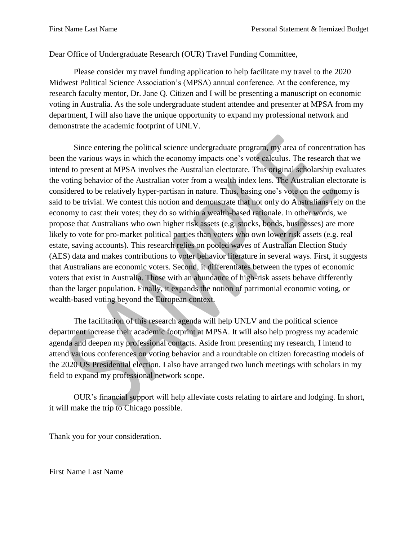## Dear Office of Undergraduate Research (OUR) Travel Funding Committee,

Please consider my travel funding application to help facilitate my travel to the 2020 Midwest Political Science Association's (MPSA) annual conference. At the conference, my research faculty mentor, Dr. Jane Q. Citizen and I will be presenting a manuscript on economic voting in Australia. As the sole undergraduate student attendee and presenter at MPSA from my department, I will also have the unique opportunity to expand my professional network and demonstrate the academic footprint of UNLV.

Since entering the political science undergraduate program, my area of concentration has been the various ways in which the economy impacts one's vote calculus. The research that we intend to present at MPSA involves the Australian electorate. This original scholarship evaluates the voting behavior of the Australian voter from a wealth index lens. The Australian electorate is considered to be relatively hyper-partisan in nature. Thus, basing one's vote on the economy is said to be trivial. We contest this notion and demonstrate that not only do Australians rely on the economy to cast their votes; they do so within a wealth-based rationale. In other words, we propose that Australians who own higher risk assets (e.g. stocks, bonds, businesses) are more likely to vote for pro-market political parties than voters who own lower risk assets (e.g. real estate, saving accounts). This research relies on pooled waves of Australian Election Study (AES) data and makes contributions to voter behavior literature in several ways. First, it suggests that Australians are economic voters. Second, it differentiates between the types of economic voters that exist in Australia. Those with an abundance of high-risk assets behave differently than the larger population. Finally, it expands the notion of patrimonial economic voting, or wealth-based voting beyond the European context.

The facilitation of this research agenda will help UNLV and the political science department increase their academic footprint at MPSA. It will also help progress my academic agenda and deepen my professional contacts. Aside from presenting my research, I intend to attend various conferences on voting behavior and a roundtable on citizen forecasting models of the 2020 US Presidential election. I also have arranged two lunch meetings with scholars in my field to expand my professional network scope.

OUR's financial support will help alleviate costs relating to airfare and lodging. In short, it will make the trip to Chicago possible.

Thank you for your consideration.

First Name Last Name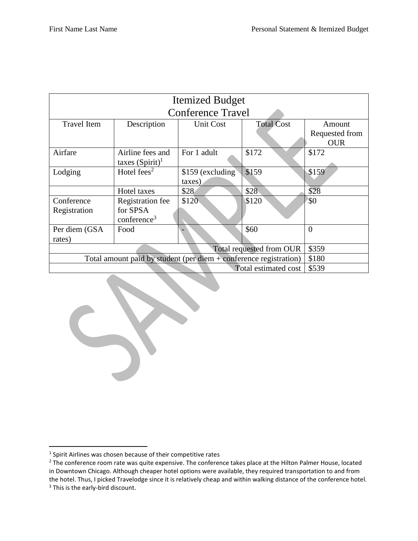|                                                                     |                                          | <b>Itemized Budget</b>      |                   |                                        |  |  |  |  |  |  |  |
|---------------------------------------------------------------------|------------------------------------------|-----------------------------|-------------------|----------------------------------------|--|--|--|--|--|--|--|
| <b>Conference Travel</b>                                            |                                          |                             |                   |                                        |  |  |  |  |  |  |  |
| Travel Item                                                         | Description                              | <b>Unit Cost</b>            | <b>Total Cost</b> | Amount<br>Requested from<br><b>OUR</b> |  |  |  |  |  |  |  |
| Airfare                                                             | Airline fees and<br>taxes $(Spirit)^{1}$ | For 1 adult                 | \$172             | \$172                                  |  |  |  |  |  |  |  |
| Lodging                                                             | Hotel fees <sup>2</sup>                  | \$159 (excluding)<br>taxes) | \$159             | \$159                                  |  |  |  |  |  |  |  |
|                                                                     | Hotel taxes                              | \$28                        | \$28              | \$28                                   |  |  |  |  |  |  |  |
| Conference                                                          | <b>Registration</b> fee                  | \$120                       | \$120             | <b>\$0</b>                             |  |  |  |  |  |  |  |
| Registration                                                        | for SPSA<br>conference <sup>3</sup>      |                             |                   |                                        |  |  |  |  |  |  |  |
| Per diem (GSA<br>rates)                                             | Food                                     |                             | \$60              | $\theta$                               |  |  |  |  |  |  |  |
|                                                                     | \$359                                    |                             |                   |                                        |  |  |  |  |  |  |  |
| Total amount paid by student (per diem $+$ conference registration) | \$180                                    |                             |                   |                                        |  |  |  |  |  |  |  |
|                                                                     | \$539                                    |                             |                   |                                        |  |  |  |  |  |  |  |

 $\overline{\phantom{a}}$ 

 $<sup>1</sup>$  Spirit Airlines was chosen because of their competitive rates</sup>

<sup>&</sup>lt;sup>2</sup> The conference room rate was quite expensive. The conference takes place at the Hilton Palmer House, located in Downtown Chicago. Although cheaper hotel options were available, they required transportation to and from the hotel. Thus, I picked Travelodge since it is relatively cheap and within walking distance of the conference hotel. <sup>3</sup> This is the early-bird discount.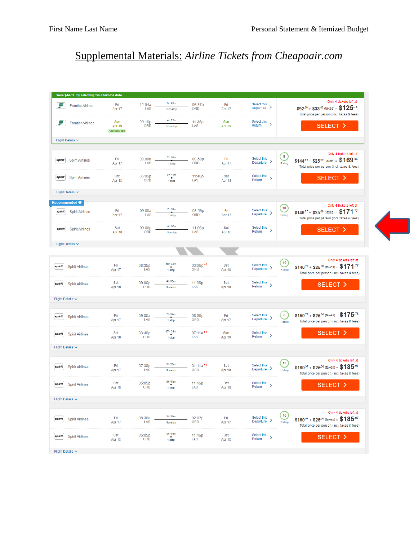## Supplemental Materials: *Airline Tickets from Cheapoair.com*

|        | Save \$44.18 by selecting this alternate date.     |                                 |                      |                   |                                    |               |                                           |                                                                |                                                                                                                          |
|--------|----------------------------------------------------|---------------------------------|----------------------|-------------------|------------------------------------|---------------|-------------------------------------------|----------------------------------------------------------------|--------------------------------------------------------------------------------------------------------------------------|
| F      | <b>Frontier Airlines</b>                           | Fri<br>Apr 17                   | 12:54a<br>LAS        | 3h 43m<br>Nonston | 06:37a<br>ORD                      | Fri<br>Apr 17 | Select this<br>$\rightarrow$<br>Departure |                                                                | Only 4 tickets left at<br>$$92^{38} + $33^{40}$ (taxes) = $$125^{78}$<br>Total price per person (incl. taxes & fees)     |
| F      | <b>Frontier Airlines</b>                           | Sun<br>Apr 19<br>Alternate date | 09:16p<br>ORD        | 4h 22m<br>Nonstop | 11:38p<br>LAS                      | Sun<br>Apr 19 | Select this<br>$\rightarrow$<br>Return    |                                                                | SELECT >                                                                                                                 |
|        | Flight Details $\vee$                              |                                 |                      |                   |                                    |               |                                           |                                                                |                                                                                                                          |
| spirit | <b>Spirit Airlines</b>                             | Fri<br>Apr 17                   | 09:00a<br>LAS        | 7h 59m<br>1 stop  | 06:59p<br><b>ORD</b>               | Fri<br>Apr 17 | Select this<br>$Departure$ >              | $\boxed{9}$<br>Rating                                          | Only 4 tickets left at<br>$$144^{.96} + $25^{.00}$ (taxes) = $$169^{.96}$<br>Total price per person (incl. taxes & fees) |
| spirit | <b>Spirit Airlines</b>                             | Sat<br>Apr 18                   | 05:05p<br>ORD        | 8h 41m<br>1 stop  | 11:46p<br>LAS                      | Sat<br>Apr 18 | Select this<br>$\rightarrow$<br>Return    |                                                                | SELECT >                                                                                                                 |
|        | Flight Details V                                   |                                 |                      |                   |                                    |               |                                           |                                                                |                                                                                                                          |
| spirit | Recommended <sup>O</sup><br><b>Spirit Airlines</b> | Fri<br>Apr 17                   | 09:00a<br>LAS        | 7h 59m<br>1 stop  | 06:59p<br>ORD                      | Fri<br>Apr 17 | Select this<br>$\rightarrow$<br>Departure | $\left( \begin{matrix} 10 \\ 1 \end{matrix} \right)$<br>Rating | Only 4 tickets left at<br>$$146^{.77} + $25^{.00}$ (taxes) = \$171.77<br>Total price per person (incl. taxes & fees)     |
| spirit | <b>Spirit Airlines</b>                             | Sat<br>Apr 18                   | 09:00p<br>ORD        | 4h 06m<br>Nonstop | 11:06p<br>LAS                      | Sat<br>Apr 18 | Select this<br>$\rightarrow$<br>Return    |                                                                | SELECT >                                                                                                                 |
|        | Flight Details $\vee$                              |                                 |                      |                   |                                    |               |                                           |                                                                |                                                                                                                          |
|        |                                                    |                                 |                      |                   |                                    |               |                                           |                                                                |                                                                                                                          |
| spirit | <b>Spirit Airlines</b>                             | Fri<br>Apr 17                   | 08:35p<br>LAS        | 16h 33m<br>1 stop | 03:08p <sup>+1</sup><br><b>ORD</b> | Sat<br>Apr 18 | Select this<br>$\rightarrow$<br>Departure | 10<br>Rating                                                   | Only 4 tickets left at<br>$$146^{77} + $25^{00}$ (taxes) = $$171^{.77}$<br>Total price per person (incl. taxes & fees)   |
| spirit | <b>Spirit Airlines</b>                             | Sat<br>Apr 18                   | 09:00p<br>ORD        | 4h 06m<br>Nonstop | 11:06p<br>LAS                      | Sat<br>Apr 18 | Select this<br>$\rightarrow$<br>Return    |                                                                | SELECT <sub>&gt;</sub>                                                                                                   |
|        | Flight Details $\vee$                              |                                 |                      |                   |                                    |               |                                           |                                                                |                                                                                                                          |
| spirit | <b>Spirit Airlines</b>                             | Fri<br>Apr 17                   | 09:00a<br>LAS        | 7h 59m<br>1 stop  | 06:59p<br>ORD                      | Fri<br>Apr 17 | Select this<br>$\rightarrow$<br>Departure | $\mathbf{8}$<br>Rating                                         | \$150 <sup>76</sup> + \$25 <sup>.00</sup> (taxes) = \$175 <sup>.76</sup><br>Total price per person (incl. taxes & fees)  |
| spirit | <b>Spirit Airlines</b>                             | Sat<br>Apr 18                   | 03:40p<br><b>ORD</b> | 17h 31m<br>1 stop | $07:11a+1$<br>LAS                  | Sun<br>Apr 19 | Select this<br>$\rightarrow$<br>Return    |                                                                | SELECT >                                                                                                                 |
|        | Flight Details $\vee$                              |                                 |                      |                   |                                    |               |                                           |                                                                |                                                                                                                          |
| spirit | <b>Spirit Airlines</b>                             | Fri<br>Apr 17                   | 07:38p<br>LAS        | 3h 33m<br>Nonstop | $01:11a+1$<br><b>ORD</b>           | Sat<br>Apr 18 | Select this<br>Department <sub>1</sub> >  | 10<br>Rating                                                   | Only 4 tickets left at<br>$$160^{97} + $25^{00}$ (taxes) = \$185.97<br>Total price per person (incl. taxes & fees)       |
| spirit | <b>Spirit Airlines</b>                             | Sat<br>Apr 18                   | 05:05p<br>ORD        | 8h 41m<br>1 stop  | 11:46p<br>LAS                      | Sat<br>Apr 18 | Select this<br>$\rightarrow$<br>Return    |                                                                | SELECT >                                                                                                                 |
|        | Flight Details $\vee$                              |                                 |                      |                   |                                    |               |                                           |                                                                |                                                                                                                          |
| spirit | <b>Spirit Airlines</b>                             | Fri<br>Apr 17                   | 08:30a<br>LAS        | 3h 37m<br>Nonstop | 02:07p<br>ORD                      | Fri<br>Apr 17 | Select this<br>Department <sub>1</sub> >  | $\boxed{10}$<br>Rating                                         | Only 4 tickets left at<br>$$160^{97} + $25^{00}$ (taxes) = \$185.97<br>Total price per person (incl. taxes & fees)       |
| spirit | <b>Spirit Airlines</b>                             | Sat<br>Apr 18                   | 05:05p<br>ORD        | 8h 41m<br>1 stop  | 11:46p<br>LAS                      | Sat<br>Apr 18 | Select this<br>$\rightarrow$<br>Return    |                                                                | SELECT >                                                                                                                 |
|        | Flight Details V                                   |                                 |                      |                   |                                    |               |                                           |                                                                |                                                                                                                          |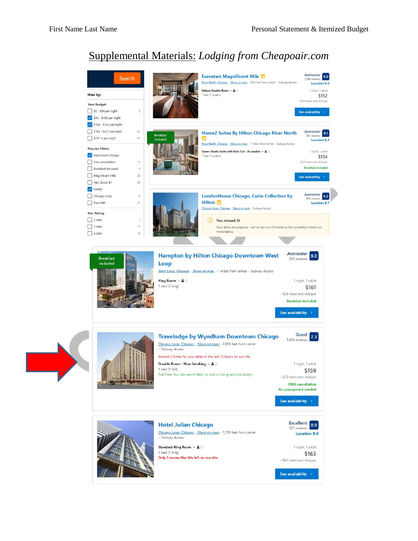## Supplemental Materials: *Lodging from Cheapoair.com*